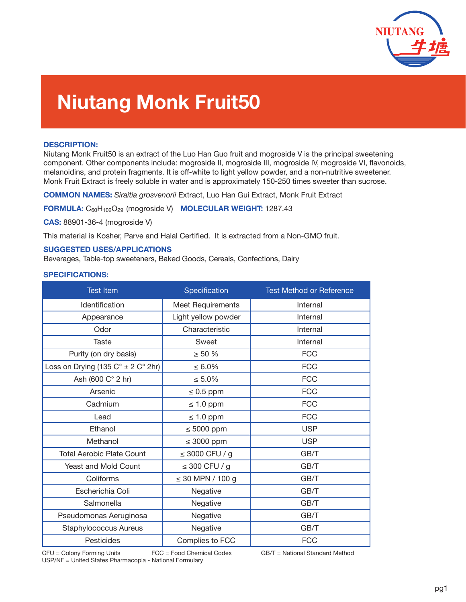

# **Niutang Monk Fruit50**

### **DESCRIPTION:**

Niutang Monk Fruit50 is an extract of the Luo Han Guo fruit and mogroside V is the principal sweetening component. Other components include: mogroside II, mogroside III, mogroside IV, mogroside VI, flavonoids, melanoidins, and protein fragments. It is off-white to light yellow powder, and a non-nutritive sweetener. Monk Fruit Extract is freely soluble in water and is approximately 150-250 times sweeter than sucrose.

**COMMON NAMES:** *Siraitia grosvenorii* Extract, Luo Han Gui Extract, Monk Fruit Extract

**FORMULA:** C60H102O29 (mogroside V) **MOLECULAR WEIGHT:** 1287.43

**CAS:** 88901-36-4 (mogroside V)

This material is Kosher, Parve and Halal Certified. It is extracted from a Non-GMO fruit.

#### **SUGGESTED USES/APPLICATIONS**

Beverages, Table-top sweeteners, Baked Goods, Cereals, Confections, Dairy

#### **SPECIFICATIONS:**

| <b>Test Item</b>                                     | Specification         | <b>Test Method or Reference</b> |
|------------------------------------------------------|-----------------------|---------------------------------|
| <b>Identification</b>                                | Meet Requirements     | Internal                        |
| Appearance                                           | Light yellow powder   | Internal                        |
| Odor                                                 | Characteristic        | Internal                        |
| <b>Taste</b>                                         | Sweet                 | Internal                        |
| Purity (on dry basis)                                | $\geq 50 \%$          | <b>FCC</b>                      |
| Loss on Drying (135 $C^{\circ}$ ± 2 $C^{\circ}$ 2hr) | $\leq 6.0\%$          | <b>FCC</b>                      |
| Ash (600 C° 2 hr)                                    | $\leq 5.0\%$          | <b>FCC</b>                      |
| Arsenic                                              | $\leq 0.5$ ppm        | <b>FCC</b>                      |
| Cadmium                                              | $\leq 1.0$ ppm        | <b>FCC</b>                      |
| Lead                                                 | $\leq 1.0$ ppm        | <b>FCC</b>                      |
| Ethanol                                              | $\leq 5000$ ppm       | <b>USP</b>                      |
| Methanol                                             | $\leq$ 3000 ppm       | <b>USP</b>                      |
| <b>Total Aerobic Plate Count</b>                     | $\leq$ 3000 CFU / g   | GB/T                            |
| Yeast and Mold Count                                 | $\leq$ 300 CFU / g    | GB/T                            |
| Coliforms                                            | $\leq$ 30 MPN / 100 g | GB/T                            |
| Escherichia Coli                                     | Negative              | GB/T                            |
| Salmonella                                           | Negative              | GB/T                            |
| Pseudomonas Aeruginosa                               | Negative              | GB/T                            |
| <b>Staphylococcus Aureus</b>                         | Negative              | GB/T                            |
| Pesticides                                           | Complies to FCC       | <b>FCC</b>                      |